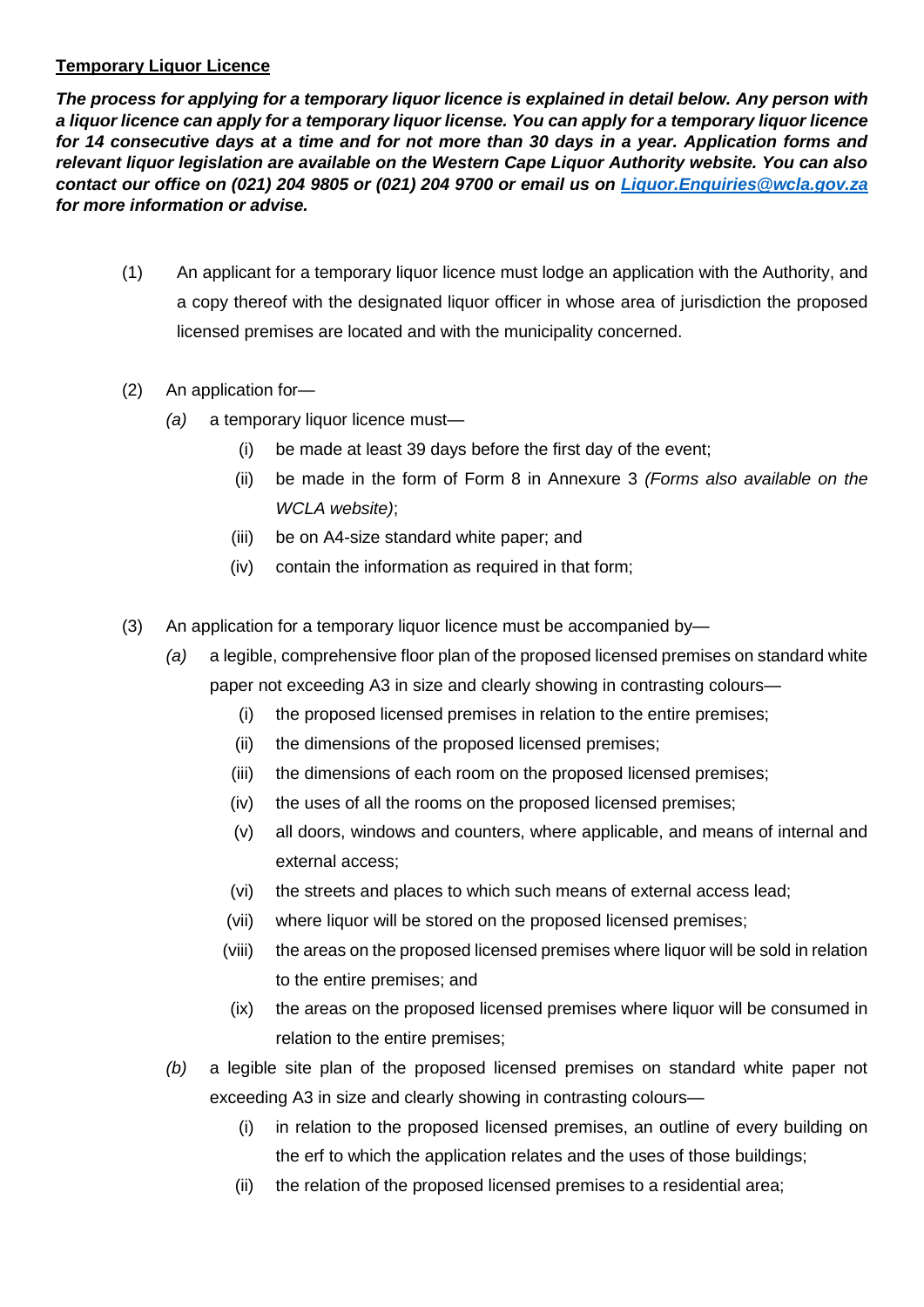## **Temporary Liquor Licence**

*The process for applying for a temporary liquor licence is explained in detail below. Any person with a liquor licence can apply for a temporary liquor license. You can apply for a temporary liquor licence for 14 consecutive days at a time and for not more than 30 days in a year. Application forms and relevant liquor legislation are available on the Western Cape Liquor Authority website. You can also contact our office on (021) 204 9805 or (021) 204 9700 or email us on [Liquor.Enquiries@wcla.gov.za](mailto:Liquor.Enquiries@wcla.gov.za) for more information or advise.* 

- (1) An applicant for a temporary liquor licence must lodge an application with the Authority, and a copy thereof with the designated liquor officer in whose area of jurisdiction the proposed licensed premises are located and with the municipality concerned.
- (2) An application for—
	- *(a)* a temporary liquor licence must—
		- (i) be made at least 39 days before the first day of the event;
		- (ii) be made in the form of Form 8 in Annexure 3 *(Forms also available on the WCLA website)*;
		- (iii) be on A4-size standard white paper; and
		- (iv) contain the information as required in that form;
- (3) An application for a temporary liquor licence must be accompanied by—
	- *(a)* a legible, comprehensive floor plan of the proposed licensed premises on standard white paper not exceeding A3 in size and clearly showing in contrasting colours—
		- (i) the proposed licensed premises in relation to the entire premises;
		- (ii) the dimensions of the proposed licensed premises;
		- (iii) the dimensions of each room on the proposed licensed premises;
		- (iv) the uses of all the rooms on the proposed licensed premises;
		- (v) all doors, windows and counters, where applicable, and means of internal and external access;
		- (vi) the streets and places to which such means of external access lead;
		- (vii) where liquor will be stored on the proposed licensed premises;
		- (viii) the areas on the proposed licensed premises where liquor will be sold in relation to the entire premises; and
		- (ix) the areas on the proposed licensed premises where liquor will be consumed in relation to the entire premises;
	- *(b)* a legible site plan of the proposed licensed premises on standard white paper not exceeding A3 in size and clearly showing in contrasting colours—
		- (i) in relation to the proposed licensed premises, an outline of every building on the erf to which the application relates and the uses of those buildings;
		- (ii) the relation of the proposed licensed premises to a residential area;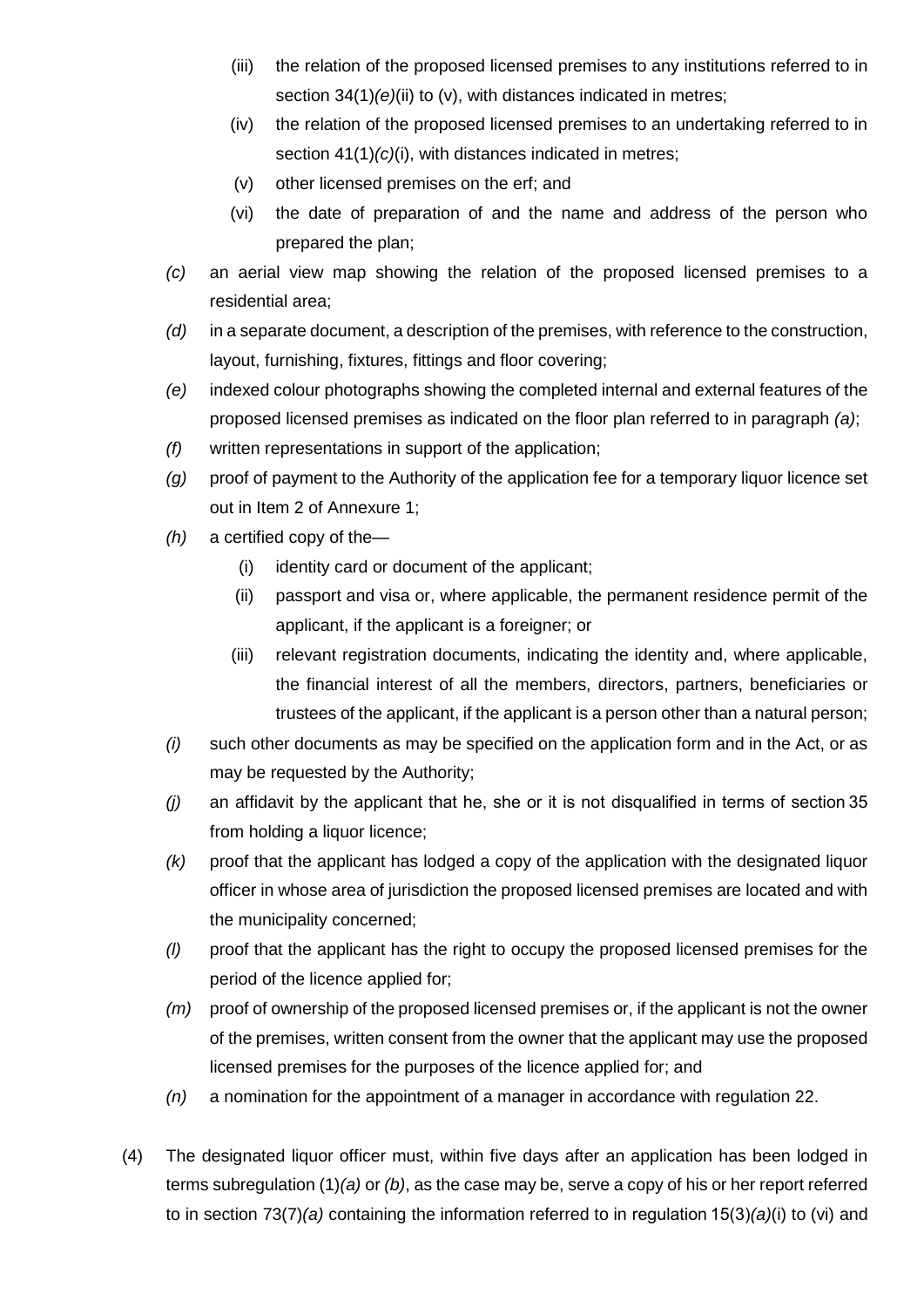- (iii) the relation of the proposed licensed premises to any institutions referred to in section 34(1)*(e)*(ii) to (v), with distances indicated in metres;
- (iv) the relation of the proposed licensed premises to an undertaking referred to in section 41(1)(c)(i), with distances indicated in metres;
- (v) other licensed premises on the erf; and
- (vi) the date of preparation of and the name and address of the person who prepared the plan;
- *(c)* an aerial view map showing the relation of the proposed licensed premises to a residential area;
- *(d)* in a separate document, a description of the premises, with reference to the construction, layout, furnishing, fixtures, fittings and floor covering;
- *(e)* indexed colour photographs showing the completed internal and external features of the proposed licensed premises as indicated on the floor plan referred to in paragraph *(a)*;
- *(f)* written representations in support of the application;
- *(g)* proof of payment to the Authority of the application fee for a temporary liquor licence set out in Item 2 of Annexure 1;
- *(h)* a certified copy of the—
	- (i) identity card or document of the applicant;
	- (ii) passport and visa or, where applicable, the permanent residence permit of the applicant, if the applicant is a foreigner; or
	- (iii) relevant registration documents, indicating the identity and, where applicable, the financial interest of all the members, directors, partners, beneficiaries or trustees of the applicant, if the applicant is a person other than a natural person;
- *(i)* such other documents as may be specified on the application form and in the Act, or as may be requested by the Authority;
- *(j)* an affidavit by the applicant that he, she or it is not disqualified in terms of section 35 from holding a liquor licence;
- *(k)* proof that the applicant has lodged a copy of the application with the designated liquor officer in whose area of jurisdiction the proposed licensed premises are located and with the municipality concerned;
- *(l)* proof that the applicant has the right to occupy the proposed licensed premises for the period of the licence applied for;
- *(m)* proof of ownership of the proposed licensed premises or, if the applicant is not the owner of the premises, written consent from the owner that the applicant may use the proposed licensed premises for the purposes of the licence applied for; and
- *(n)* a nomination for the appointment of a manager in accordance with regulation 22.
- (4) The designated liquor officer must, within five days after an application has been lodged in terms subregulation (1)*(a)* or *(b)*, as the case may be, serve a copy of his or her report referred to in section 73(7)*(a)* containing the information referred to in regulation 15(3)*(a)*(i) to (vi) and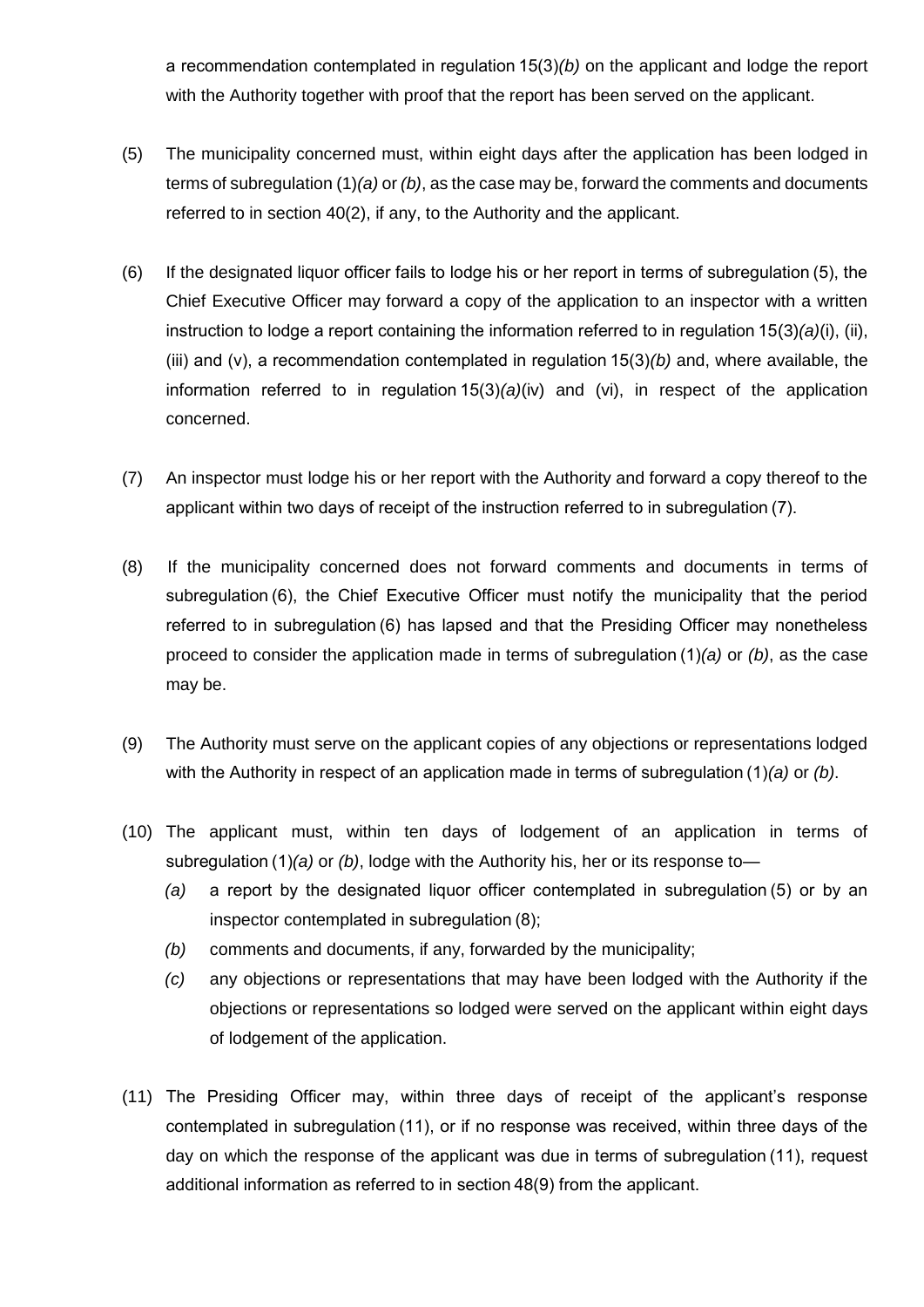a recommendation contemplated in regulation 15(3)*(b)* on the applicant and lodge the report with the Authority together with proof that the report has been served on the applicant.

- (5) The municipality concerned must, within eight days after the application has been lodged in terms of subregulation (1)*(a)* or *(b)*, as the case may be, forward the comments and documents referred to in section 40(2), if any, to the Authority and the applicant.
- (6) If the designated liquor officer fails to lodge his or her report in terms of subregulation (5), the Chief Executive Officer may forward a copy of the application to an inspector with a written instruction to lodge a report containing the information referred to in regulation 15(3)*(a)*(i), (ii), (iii) and (v), a recommendation contemplated in regulation 15(3)*(b)* and, where available, the information referred to in regulation 15(3)*(a)*(iv) and (vi), in respect of the application concerned.
- (7) An inspector must lodge his or her report with the Authority and forward a copy thereof to the applicant within two days of receipt of the instruction referred to in subregulation (7).
- (8) If the municipality concerned does not forward comments and documents in terms of subregulation (6), the Chief Executive Officer must notify the municipality that the period referred to in subregulation (6) has lapsed and that the Presiding Officer may nonetheless proceed to consider the application made in terms of subregulation (1)*(a)* or *(b)*, as the case may be.
- (9) The Authority must serve on the applicant copies of any objections or representations lodged with the Authority in respect of an application made in terms of subregulation (1)*(a)* or *(b)*.
- (10) The applicant must, within ten days of lodgement of an application in terms of subregulation (1)*(a)* or *(b)*, lodge with the Authority his, her or its response to—
	- *(a)* a report by the designated liquor officer contemplated in subregulation (5) or by an inspector contemplated in subregulation (8);
	- *(b)* comments and documents, if any, forwarded by the municipality;
	- *(c)* any objections or representations that may have been lodged with the Authority if the objections or representations so lodged were served on the applicant within eight days of lodgement of the application.
- (11) The Presiding Officer may, within three days of receipt of the applicant's response contemplated in subregulation (11), or if no response was received, within three days of the day on which the response of the applicant was due in terms of subregulation (11), request additional information as referred to in section 48(9) from the applicant.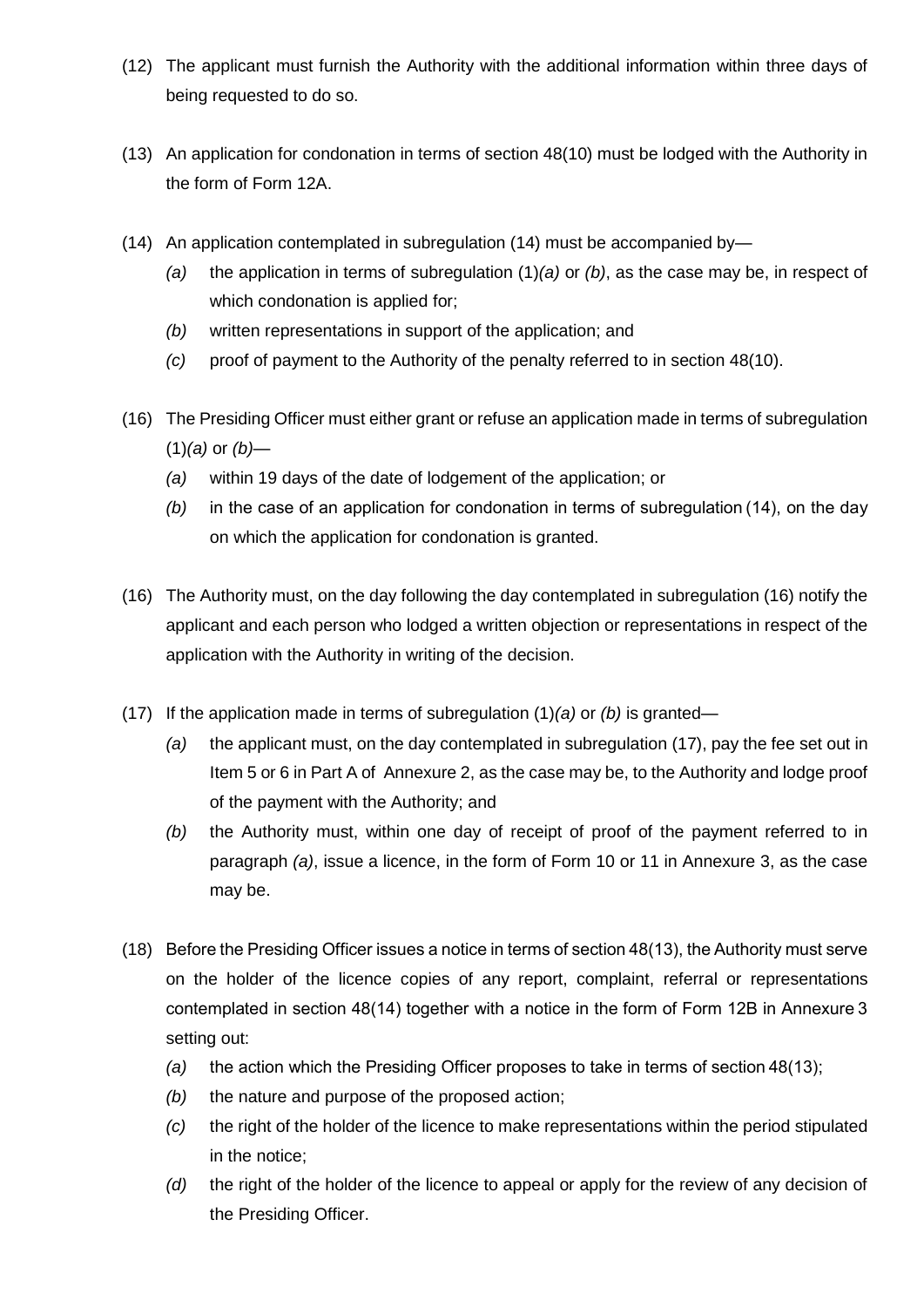- (12) The applicant must furnish the Authority with the additional information within three days of being requested to do so.
- (13) An application for condonation in terms of section 48(10) must be lodged with the Authority in the form of Form 12A.
- (14) An application contemplated in subregulation (14) must be accompanied by—
	- *(a)* the application in terms of subregulation (1)*(a)* or *(b)*, as the case may be, in respect of which condonation is applied for;
	- *(b)* written representations in support of the application; and
	- *(c)* proof of payment to the Authority of the penalty referred to in section 48(10).
- (16) The Presiding Officer must either grant or refuse an application made in terms of subregulation (1)*(a)* or *(b)*—
	- *(a)* within 19 days of the date of lodgement of the application; or
	- *(b)* in the case of an application for condonation in terms of subregulation (14), on the day on which the application for condonation is granted.
- (16) The Authority must, on the day following the day contemplated in subregulation (16) notify the applicant and each person who lodged a written objection or representations in respect of the application with the Authority in writing of the decision.
- (17) If the application made in terms of subregulation (1)*(a)* or *(b)* is granted—
	- *(a)* the applicant must, on the day contemplated in subregulation (17), pay the fee set out in Item 5 or 6 in Part A of Annexure 2, as the case may be, to the Authority and lodge proof of the payment with the Authority; and
	- *(b)* the Authority must, within one day of receipt of proof of the payment referred to in paragraph *(a)*, issue a licence, in the form of Form 10 or 11 in Annexure 3, as the case may be.
- (18) Before the Presiding Officer issues a notice in terms of section 48(13), the Authority must serve on the holder of the licence copies of any report, complaint, referral or representations contemplated in section 48(14) together with a notice in the form of Form 12B in Annexure 3 setting out:
	- *(a)* the action which the Presiding Officer proposes to take in terms of section 48(13);
	- *(b)* the nature and purpose of the proposed action;
	- *(c)* the right of the holder of the licence to make representations within the period stipulated in the notice;
	- *(d)* the right of the holder of the licence to appeal or apply for the review of any decision of the Presiding Officer.